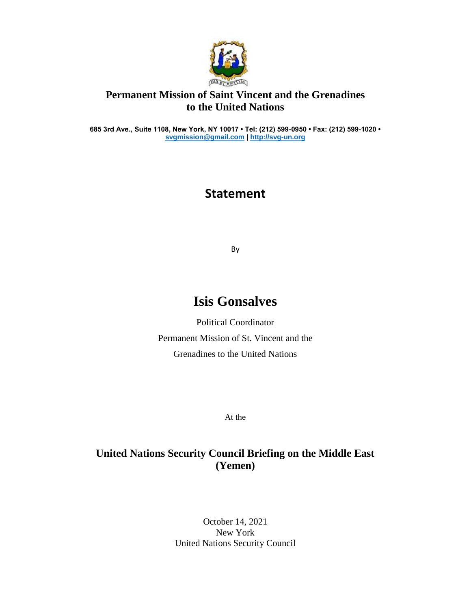

## **Permanent Mission of Saint Vincent and the Grenadines to the United Nations**

**685 3rd Ave., Suite 1108, New York, NY 10017 • Tel: (212) 599-0950 • Fax: (212) 599-1020 • [svgmission@gmail.com](mailto:svgmission@gmail.com) [| http://svg-un.org](http://svg-un.org/)**

## **Statement**

By

## **Isis Gonsalves**

Political Coordinator Permanent Mission of St. Vincent and the Grenadines to the United Nations

At the

## **United Nations Security Council Briefing on the Middle East (Yemen)**

October 14, 2021 New York United Nations Security Council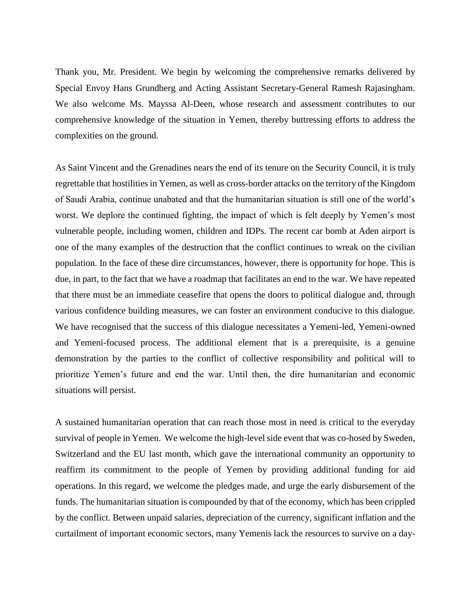Thank you, Mr. President. We begin by welcoming the comprehensive remarks delivered by Special Envoy Hans Grundberg and Acting Assistant Secretary-General Ramesh Rajasingham. We also welcome Ms. Mayssa Al-Deen, whose research and assessment contributes to our comprehensive knowledge of the situation in Yemen, thereby buttressing efforts to address the complexities on the ground.

As Saint Vincent and the Grenadines nears the end of its tenure on the Security Council, it is truly regrettable that hostilities in Yemen, as well as cross-border attacks on the territory of the Kingdom of Saudi Arabia, continue unabated and that the humanitarian situation is still one of the world's worst. We deplore the continued fighting, the impact of which is felt deeply by Yemen's most vulnerable people, including women, children and IDPs. The recent car bomb at Aden airport is one of the many examples of the destruction that the conflict continues to wreak on the civilian population. In the face of these dire circumstances, however, there is opportunity for hope. This is due, in part, to the fact that we have a roadmap that facilitates an end to the war. We have repeated that there must be an immediate ceasefire that opens the doors to political dialogue and, through various confidence building measures, we can foster an environment conducive to this dialogue. We have recognised that the success of this dialogue necessitates a Yemeni-led, Yemeni-owned and Yemeni-focused process. The additional element that is a prerequisite, is a genuine demonstration by the parties to the conflict of collective responsibility and political will to prioritize Yemen's future and end the war. Until then, the dire humanitarian and economic situations will persist.

A sustained humanitarian operation that can reach those most in need is critical to the everyday survival of people in Yemen. We welcome the high-level side event that was co-hosed by Sweden, Switzerland and the EU last month, which gave the international community an opportunity to reaffirm its commitment to the people of Yemen by providing additional funding for aid operations. In this regard, we welcome the pledges made, and urge the early disbursement of the funds. The humanitarian situation is compounded by that of the economy, which has been crippled by the conflict. Between unpaid salaries, depreciation of the currency, significant inflation and the curtailment of important economic sectors, many Yemenis lack the resources to survive on a day